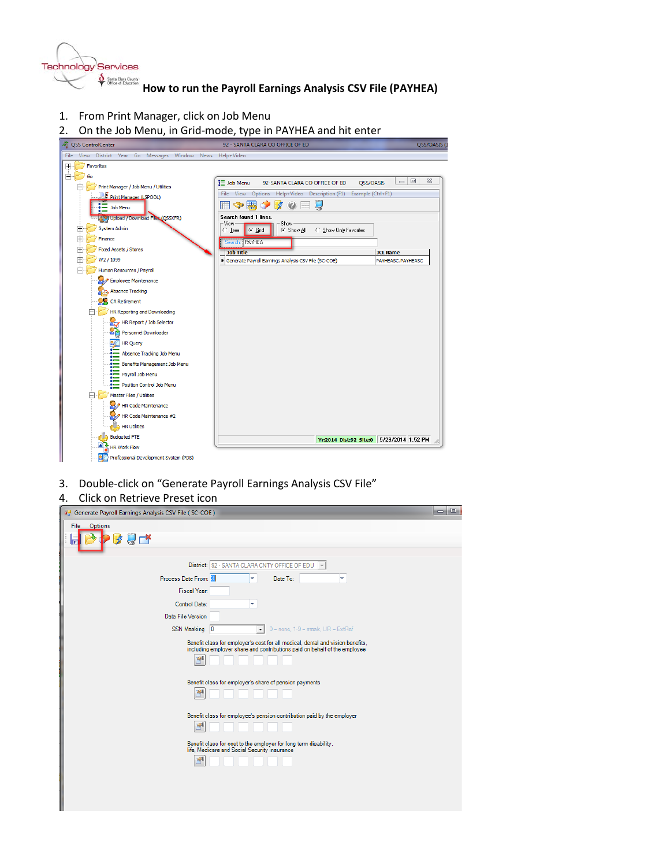

 $\oint_{\Theta}$ <sub>Santa Clas Coat's</sub><br>
How to run the Payroll Earnings Analysis CSV File (PAYHEA)

- 1. From Print Manager, click on Job Menu
- 2. On the Job Menu, in Grid-mode, type in PAYHEA and hit enter



3. Double-click on "Generate Payroll Earnings Analysis CSV File"

## 4. Click on Retrieve Preset icon

ı

| Generate Payroll Earnings Analysis CSV File (SC-COE)                                                                                                                            | <b>e</b>                                                                                                                                                                                                                              |
|---------------------------------------------------------------------------------------------------------------------------------------------------------------------------------|---------------------------------------------------------------------------------------------------------------------------------------------------------------------------------------------------------------------------------------|
| File Options<br>п                                                                                                                                                               |                                                                                                                                                                                                                                       |
| District: 92 - SANTA CLARA CNTY OFFICE OF EDU $\blacktriangledown$                                                                                                              |                                                                                                                                                                                                                                       |
| Process Date From: 8                                                                                                                                                            | Date To:<br>v.                                                                                                                                                                                                                        |
| Fiscal Year:                                                                                                                                                                    |                                                                                                                                                                                                                                       |
| Control Date:<br>٠                                                                                                                                                              |                                                                                                                                                                                                                                       |
| Data File Version                                                                                                                                                               |                                                                                                                                                                                                                                       |
| SSN Masking   0<br>$\overline{\phantom{a}}$                                                                                                                                     | $0 =$ none, $1-9 =$ mask, $L/R =$ ExtRef                                                                                                                                                                                              |
| Benefit class for employer's share of pension payments<br>呯<br>Benefit class for cost to the employer for long term disability,<br>life, Medicare and Social Security insurance | Benefit class for employer's cost for all medical, dental and vision benefits,<br>including employer share and contributions paid on behalf of the employee<br>Benefit class for employee's pension contribution paid by the employer |
|                                                                                                                                                                                 |                                                                                                                                                                                                                                       |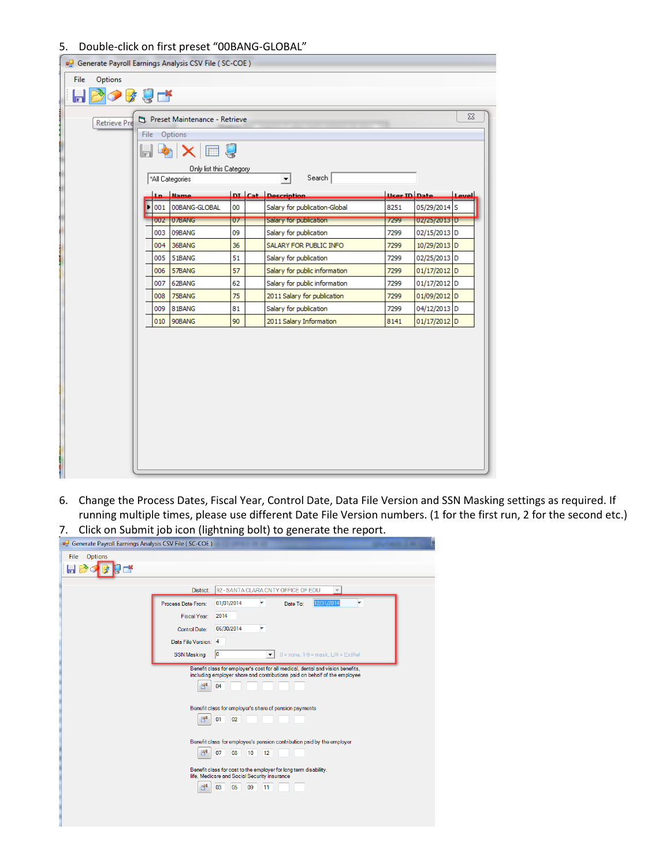## 5. Double-click on first preset "00BANG-GLOBAL"

|                                                                  |         |   |     | Generate Payroll Earnings Analysis CSV File (SC-COE) |    |  |                               |                     |                |              |
|------------------------------------------------------------------|---------|---|-----|------------------------------------------------------|----|--|-------------------------------|---------------------|----------------|--------------|
| File                                                             | Options |   |     |                                                      |    |  |                               |                     |                |              |
| 目2008年                                                           |         |   |     |                                                      |    |  |                               |                     |                |              |
| $\Sigma$<br>Preset Maintenance - Retrieve<br><b>Retrieve Pre</b> |         |   |     |                                                      |    |  |                               |                     |                |              |
| File Options                                                     |         |   |     |                                                      |    |  |                               |                     |                |              |
| $ \mathbf{F} \times 0\rangle$<br>6                               |         |   |     |                                                      |    |  |                               |                     |                |              |
| Only list this Category                                          |         |   |     |                                                      |    |  |                               |                     |                |              |
|                                                                  |         |   |     | "All Categories                                      |    |  | Search<br>$\vert \cdot \vert$ |                     |                |              |
|                                                                  |         |   | Ln. | Mame.                                                |    |  | DI Cat Description            | <b>Heer ID Date</b> |                | <b>Level</b> |
|                                                                  |         | Þ | 001 | 00BANG-GLOBAL                                        | 00 |  | Salary for publication-Global | 8251                | 05/29/2014 S   |              |
|                                                                  |         |   |     | 002 07BANG                                           | 07 |  | Salary for publication        | 7299                | 02/25/2013 D   |              |
|                                                                  |         |   | 003 | 09BANG                                               | 09 |  | Salary for publication        | 7299                | 02/15/2013 D   |              |
|                                                                  |         |   | 004 | 36BANG                                               | 36 |  | SALARY FOR PUBLIC INFO        | 7299                | 10/29/2013 D   |              |
|                                                                  |         |   | 005 | 51BANG                                               | 51 |  | Salary for publication        | 7299                | 02/25/2013 D   |              |
|                                                                  |         |   | 006 | 57BANG                                               | 57 |  | Salary for public information | 7299                | $01/17/2012$ D |              |
|                                                                  |         |   | 007 | 62BANG                                               | 62 |  | Salary for public information | 7299                | 01/17/2012 D   |              |
|                                                                  |         |   | 008 | 75BANG                                               | 75 |  | 2011 Salary for publication   | 7299                | 01/09/2012 D   |              |
|                                                                  |         |   | 009 | 81BANG                                               | 81 |  | Salary for publication        | 7299                | 04/12/2013 D   |              |
|                                                                  |         |   | 010 | 90BANG                                               | 90 |  | 2011 Salary Information       | 8141                | 01/17/2012 D   |              |
|                                                                  |         |   |     |                                                      |    |  |                               |                     |                |              |
|                                                                  |         |   |     |                                                      |    |  |                               |                     |                |              |
|                                                                  |         |   |     |                                                      |    |  |                               |                     |                |              |
|                                                                  |         |   |     |                                                      |    |  |                               |                     |                |              |
|                                                                  |         |   |     |                                                      |    |  |                               |                     |                |              |
|                                                                  |         |   |     |                                                      |    |  |                               |                     |                |              |
|                                                                  |         |   |     |                                                      |    |  |                               |                     |                |              |
|                                                                  |         |   |     |                                                      |    |  |                               |                     |                |              |
|                                                                  |         |   |     |                                                      |    |  |                               |                     |                |              |
|                                                                  |         |   |     |                                                      |    |  |                               |                     |                |              |
|                                                                  |         |   |     |                                                      |    |  |                               |                     |                |              |

- 6. Change the Process Dates, Fiscal Year, Control Date, Data File Version and SSN Masking settings as required. If running multiple times, please use different Date File Version numbers. (1 for the first run, 2 for the second etc.)
- 7. Click on Submit job icon (lightning bolt) to generate the report.

| Generate Payroll Earnings Analysis CSV File (SC-COE) |                          |                                                                                                                                                                                                                                                                                                                                                                      |  |
|------------------------------------------------------|--------------------------|----------------------------------------------------------------------------------------------------------------------------------------------------------------------------------------------------------------------------------------------------------------------------------------------------------------------------------------------------------------------|--|
| Options<br>File                                      |                          |                                                                                                                                                                                                                                                                                                                                                                      |  |
|                                                      | District:                | 92 - SANTA CLARA CNTY OFFICE OF EDU<br>$\overline{\mathbf{v}}$                                                                                                                                                                                                                                                                                                       |  |
|                                                      | Process Date From:       | 12/31/2014<br>01/01/2014<br>۳<br>Date To:                                                                                                                                                                                                                                                                                                                            |  |
|                                                      | <b>Fiscal Year:</b>      | 2014                                                                                                                                                                                                                                                                                                                                                                 |  |
|                                                      | <b>Control Date:</b>     | 06/30/2014<br>۳                                                                                                                                                                                                                                                                                                                                                      |  |
|                                                      | Data File Version: 4     |                                                                                                                                                                                                                                                                                                                                                                      |  |
|                                                      | <b>SSN Masking</b>       | 0 <br>$0 =$ none, $1-9 =$ mask, $L/R =$ ExtRef<br>$\blacktriangledown$                                                                                                                                                                                                                                                                                               |  |
|                                                      | 門<br>$\mathbb{R}^4$<br>ď | Benefit class for employer's cost for all medical, dental and vision benefits,<br>including employer share and contributions paid on behalf of the employee<br>04<br>Benefit class for employer's share of pension payments<br>01<br>02 <sub>2</sub><br>Benefit class for employee's pension contribution paid by the employer<br>07<br>08<br>10 <sup>10</sup><br>12 |  |
|                                                      | ď                        | Benefit class for cost to the employer for long term disability,<br>life, Medicare and Social Security insurance<br>03<br>05<br>09<br>11                                                                                                                                                                                                                             |  |
|                                                      |                          |                                                                                                                                                                                                                                                                                                                                                                      |  |